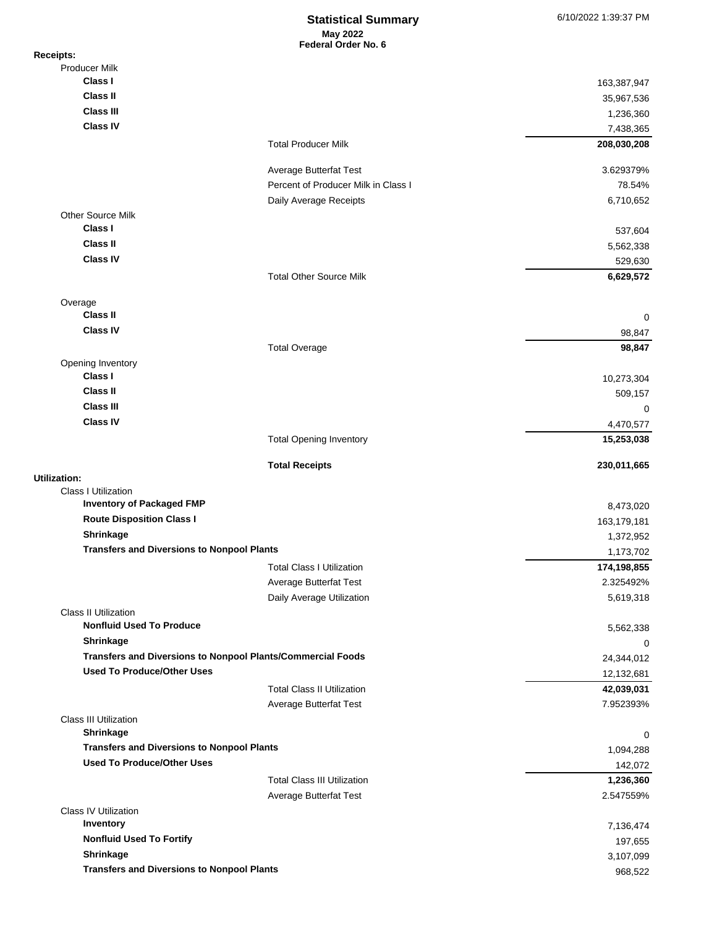## **May 2022 Federal Order No. 6 Statistical Summary** 6/10/2022 1:39:37 PM

| <b>Receipts:</b>                                            |                                     |                          |
|-------------------------------------------------------------|-------------------------------------|--------------------------|
| <b>Producer Milk</b>                                        |                                     |                          |
| Class I                                                     |                                     | 163,387,947              |
| Class II                                                    |                                     | 35,967,536               |
| <b>Class III</b>                                            |                                     | 1,236,360                |
| <b>Class IV</b>                                             |                                     | 7,438,365                |
|                                                             | <b>Total Producer Milk</b>          | 208,030,208              |
|                                                             | Average Butterfat Test              | 3.629379%                |
|                                                             | Percent of Producer Milk in Class I | 78.54%                   |
|                                                             | Daily Average Receipts              | 6,710,652                |
| <b>Other Source Milk</b><br>Class I                         |                                     | 537,604                  |
| <b>Class II</b>                                             |                                     | 5,562,338                |
| <b>Class IV</b>                                             |                                     | 529,630                  |
|                                                             | <b>Total Other Source Milk</b>      | 6,629,572                |
|                                                             |                                     |                          |
| Overage                                                     |                                     |                          |
| <b>Class II</b>                                             |                                     | 0                        |
| <b>Class IV</b>                                             |                                     | 98,847                   |
|                                                             | <b>Total Overage</b>                | 98,847                   |
| Opening Inventory                                           |                                     |                          |
| Class I                                                     |                                     | 10,273,304               |
| Class II                                                    |                                     | 509,157                  |
| <b>Class III</b>                                            |                                     | 0                        |
| <b>Class IV</b>                                             |                                     | 4,470,577                |
|                                                             | <b>Total Opening Inventory</b>      | 15,253,038               |
|                                                             | <b>Total Receipts</b>               | 230,011,665              |
| Utilization:<br><b>Class I Utilization</b>                  |                                     |                          |
| <b>Inventory of Packaged FMP</b>                            |                                     |                          |
| <b>Route Disposition Class I</b>                            |                                     | 8,473,020<br>163,179,181 |
| Shrinkage                                                   |                                     | 1,372,952                |
| <b>Transfers and Diversions to Nonpool Plants</b>           |                                     | 1,173,702                |
|                                                             | <b>Total Class I Utilization</b>    | 174,198,855              |
|                                                             | <b>Average Butterfat Test</b>       | 2.325492%                |
|                                                             | Daily Average Utilization           | 5,619,318                |
| <b>Class II Utilization</b>                                 |                                     |                          |
| <b>Nonfluid Used To Produce</b>                             |                                     | 5,562,338                |
| Shrinkage                                                   |                                     | 0                        |
| Transfers and Diversions to Nonpool Plants/Commercial Foods |                                     | 24,344,012               |
| <b>Used To Produce/Other Uses</b>                           |                                     | 12,132,681               |
|                                                             | <b>Total Class II Utilization</b>   | 42,039,031               |
|                                                             | Average Butterfat Test              | 7.952393%                |
| <b>Class III Utilization</b>                                |                                     |                          |
| Shrinkage                                                   |                                     | 0                        |
| <b>Transfers and Diversions to Nonpool Plants</b>           |                                     | 1,094,288                |
| <b>Used To Produce/Other Uses</b>                           |                                     | 142,072                  |
|                                                             | <b>Total Class III Utilization</b>  | 1,236,360                |
|                                                             | Average Butterfat Test              | 2.547559%                |
| <b>Class IV Utilization</b>                                 |                                     |                          |
| Inventory                                                   |                                     | 7,136,474                |
| <b>Nonfluid Used To Fortify</b>                             |                                     | 197,655                  |
| Shrinkage                                                   |                                     | 3,107,099                |
| <b>Transfers and Diversions to Nonpool Plants</b>           |                                     | 968,522                  |